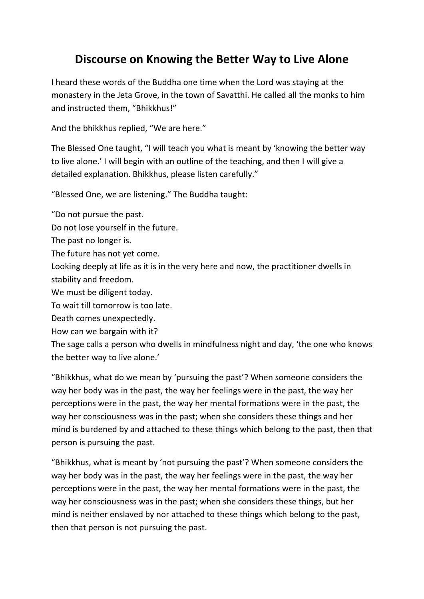## **Discourse on Knowing the Better Way to Live Alone**

I heard these words of the Buddha one time when the Lord was staying at the monastery in the Jeta Grove, in the town of Savatthi. He called all the monks to him and instructed them, "Bhikkhus!"

And the bhikkhus replied, "We are here."

The Blessed One taught, "I will teach you what is meant by 'knowing the better way to live alone.' I will begin with an outline of the teaching, and then I will give a detailed explanation. Bhikkhus, please listen carefully."

"Blessed One, we are listening." The Buddha taught:

"Do not pursue the past.

Do not lose yourself in the future.

The past no longer is.

The future has not yet come.

Looking deeply at life as it is in the very here and now, the practitioner dwells in stability and freedom.

We must be diligent today.

To wait till tomorrow is too late.

Death comes unexpectedly.

How can we bargain with it?

The sage calls a person who dwells in mindfulness night and day, 'the one who knows the better way to live alone.'

"Bhikkhus, what do we mean by 'pursuing the past'? When someone considers the way her body was in the past, the way her feelings were in the past, the way her perceptions were in the past, the way her mental formations were in the past, the way her consciousness was in the past; when she considers these things and her mind is burdened by and attached to these things which belong to the past, then that person is pursuing the past.

"Bhikkhus, what is meant by 'not pursuing the past'? When someone considers the way her body was in the past, the way her feelings were in the past, the way her perceptions were in the past, the way her mental formations were in the past, the way her consciousness was in the past; when she considers these things, but her mind is neither enslaved by nor attached to these things which belong to the past, then that person is not pursuing the past.